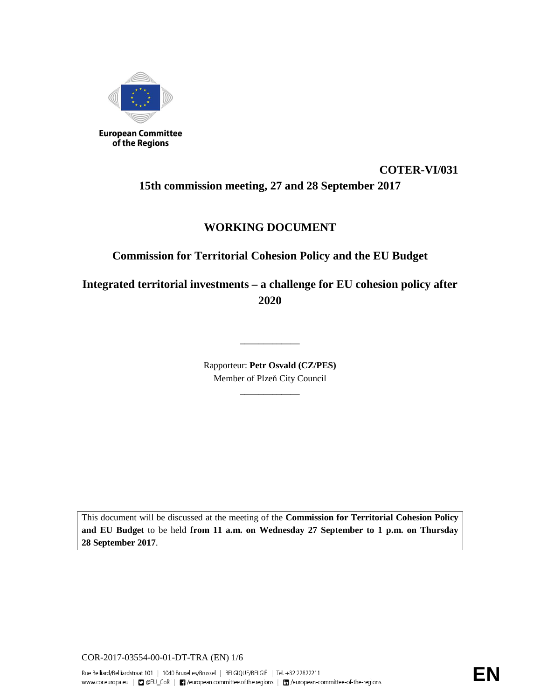

# **COTER-VI/031 15th commission meeting, 27 and 28 September 2017**

## **WORKING DOCUMENT**

## **Commission for Territorial Cohesion Policy and the EU Budget**

**Integrated territorial investments – a challenge for EU cohesion policy after 2020** 

> Rapporteur: **Petr Osvald (CZ/PES)**  Member of Plzeň City Council

> > \_\_\_\_\_\_\_\_\_\_\_\_\_

\_\_\_\_\_\_\_\_\_\_\_\_\_

This document will be discussed at the meeting of the **Commission for Territorial Cohesion Policy and EU Budget** to be held **from 11 a.m. on Wednesday 27 September to 1 p.m. on Thursday 28 September 2017**.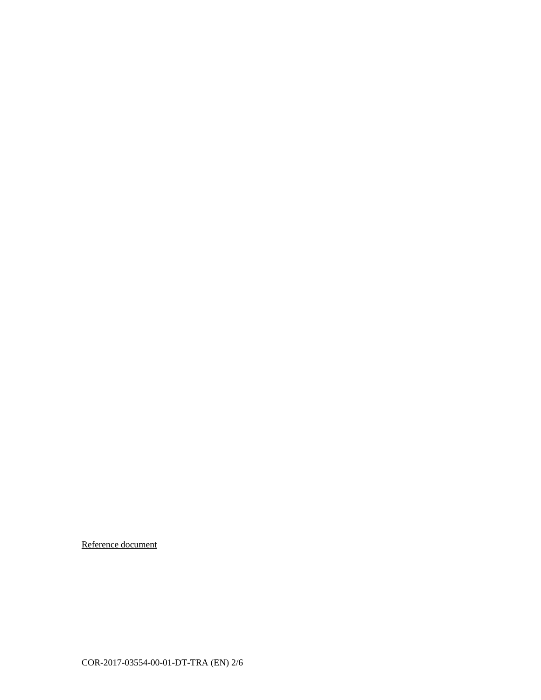Reference document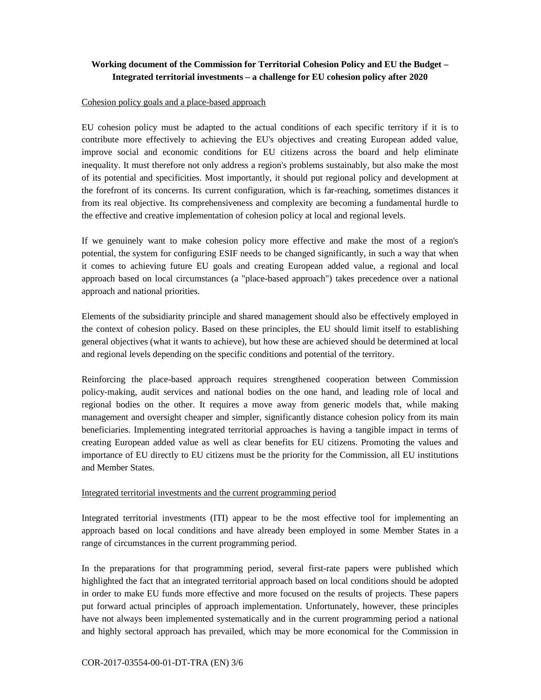## **Working document of the Commission for Territorial Cohesion Policy and EU the Budget – Integrated territorial investments – a challenge for EU cohesion policy after 2020**

#### Cohesion policy goals and a place-based approach

EU cohesion policy must be adapted to the actual conditions of each specific territory if it is to contribute more effectively to achieving the EU's objectives and creating European added value, improve social and economic conditions for EU citizens across the board and help eliminate inequality. It must therefore not only address a region's problems sustainably, but also make the most of its potential and specificities. Most importantly, it should put regional policy and development at the forefront of its concerns. Its current configuration, which is far-reaching, sometimes distances it from its real objective. Its comprehensiveness and complexity are becoming a fundamental hurdle to the effective and creative implementation of cohesion policy at local and regional levels.

If we genuinely want to make cohesion policy more effective and make the most of a region's potential, the system for configuring ESIF needs to be changed significantly, in such a way that when it comes to achieving future EU goals and creating European added value, a regional and local approach based on local circumstances (a "place-based approach") takes precedence over a national approach and national priorities.

Elements of the subsidiarity principle and shared management should also be effectively employed in the context of cohesion policy. Based on these principles, the EU should limit itself to establishing general objectives (what it wants to achieve), but how these are achieved should be determined at local and regional levels depending on the specific conditions and potential of the territory.

Reinforcing the place-based approach requires strengthened cooperation between Commission policy-making, audit services and national bodies on the one hand, and leading role of local and regional bodies on the other. It requires a move away from generic models that, while making management and oversight cheaper and simpler, significantly distance cohesion policy from its main beneficiaries. Implementing integrated territorial approaches is having a tangible impact in terms of creating European added value as well as clear benefits for EU citizens. Promoting the values and importance of EU directly to EU citizens must be the priority for the Commission, all EU institutions and Member States.

### Integrated territorial investments and the current programming period

Integrated territorial investments (ITI) appear to be the most effective tool for implementing an approach based on local conditions and have already been employed in some Member States in a range of circumstances in the current programming period.

In the preparations for that programming period, several first-rate papers were published which highlighted the fact that an integrated territorial approach based on local conditions should be adopted in order to make EU funds more effective and more focused on the results of projects. These papers put forward actual principles of approach implementation. Unfortunately, however, these principles have not always been implemented systematically and in the current programming period a national and highly sectoral approach has prevailed, which may be more economical for the Commission in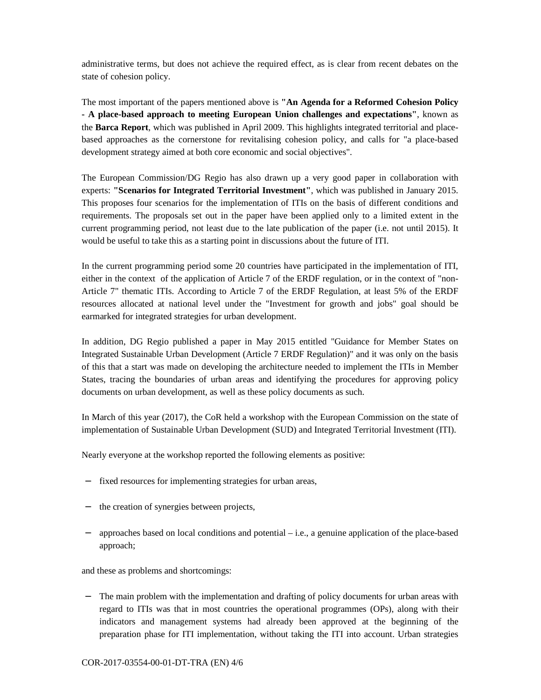administrative terms, but does not achieve the required effect, as is clear from recent debates on the state of cohesion policy.

The most important of the papers mentioned above is **"An Agenda for a Reformed Cohesion Policy - A place-based approach to meeting European Union challenges and expectations"**, known as the **Barca Report**, which was published in April 2009. This highlights integrated territorial and placebased approaches as the cornerstone for revitalising cohesion policy, and calls for "a place-based development strategy aimed at both core economic and social objectives".

The European Commission/DG Regio has also drawn up a very good paper in collaboration with experts: **"Scenarios for Integrated Territorial Investment"**, which was published in January 2015. This proposes four scenarios for the implementation of ITIs on the basis of different conditions and requirements. The proposals set out in the paper have been applied only to a limited extent in the current programming period, not least due to the late publication of the paper (i.e. not until 2015). It would be useful to take this as a starting point in discussions about the future of ITI.

In the current programming period some 20 countries have participated in the implementation of ITI, either in the context of the application of Article 7 of the ERDF regulation, or in the context of "non-Article 7" thematic ITIs. According to Article 7 of the ERDF Regulation, at least 5% of the ERDF resources allocated at national level under the "Investment for growth and jobs" goal should be earmarked for integrated strategies for urban development.

In addition, DG Regio published a paper in May 2015 entitled "Guidance for Member States on Integrated Sustainable Urban Development (Article 7 ERDF Regulation)" and it was only on the basis of this that a start was made on developing the architecture needed to implement the ITIs in Member States, tracing the boundaries of urban areas and identifying the procedures for approving policy documents on urban development, as well as these policy documents as such.

In March of this year (2017), the CoR held a workshop with the European Commission on the state of implementation of Sustainable Urban Development (SUD) and Integrated Territorial Investment (ITI).

Nearly everyone at the workshop reported the following elements as positive:

- − fixed resources for implementing strategies for urban areas,
- − the creation of synergies between projects,
- approaches based on local conditions and potential i.e., a genuine application of the place-based approach;

and these as problems and shortcomings:

The main problem with the implementation and drafting of policy documents for urban areas with regard to ITIs was that in most countries the operational programmes (OPs), along with their indicators and management systems had already been approved at the beginning of the preparation phase for ITI implementation, without taking the ITI into account. Urban strategies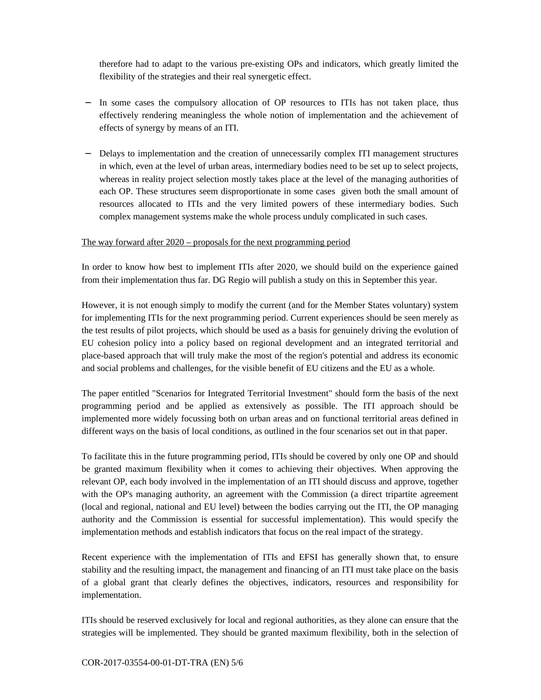therefore had to adapt to the various pre-existing OPs and indicators, which greatly limited the flexibility of the strategies and their real synergetic effect.

- − In some cases the compulsory allocation of OP resources to ITIs has not taken place, thus effectively rendering meaningless the whole notion of implementation and the achievement of effects of synergy by means of an ITI.
- − Delays to implementation and the creation of unnecessarily complex ITI management structures in which, even at the level of urban areas, intermediary bodies need to be set up to select projects, whereas in reality project selection mostly takes place at the level of the managing authorities of each OP. These structures seem disproportionate in some cases given both the small amount of resources allocated to ITIs and the very limited powers of these intermediary bodies. Such complex management systems make the whole process unduly complicated in such cases.

### The way forward after 2020 – proposals for the next programming period

In order to know how best to implement ITIs after 2020, we should build on the experience gained from their implementation thus far. DG Regio will publish a study on this in September this year.

However, it is not enough simply to modify the current (and for the Member States voluntary) system for implementing ITIs for the next programming period. Current experiences should be seen merely as the test results of pilot projects, which should be used as a basis for genuinely driving the evolution of EU cohesion policy into a policy based on regional development and an integrated territorial and place-based approach that will truly make the most of the region's potential and address its economic and social problems and challenges, for the visible benefit of EU citizens and the EU as a whole.

The paper entitled "Scenarios for Integrated Territorial Investment" should form the basis of the next programming period and be applied as extensively as possible. The ITI approach should be implemented more widely focussing both on urban areas and on functional territorial areas defined in different ways on the basis of local conditions, as outlined in the four scenarios set out in that paper.

To facilitate this in the future programming period, ITIs should be covered by only one OP and should be granted maximum flexibility when it comes to achieving their objectives. When approving the relevant OP, each body involved in the implementation of an ITI should discuss and approve, together with the OP's managing authority, an agreement with the Commission (a direct tripartite agreement (local and regional, national and EU level) between the bodies carrying out the ITI, the OP managing authority and the Commission is essential for successful implementation). This would specify the implementation methods and establish indicators that focus on the real impact of the strategy.

Recent experience with the implementation of ITIs and EFSI has generally shown that, to ensure stability and the resulting impact, the management and financing of an ITI must take place on the basis of a global grant that clearly defines the objectives, indicators, resources and responsibility for implementation.

ITIs should be reserved exclusively for local and regional authorities, as they alone can ensure that the strategies will be implemented. They should be granted maximum flexibility, both in the selection of